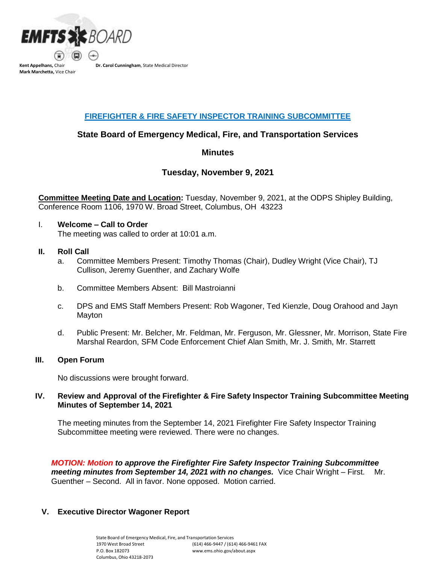

**Mark Marchetta,** Vice Chair

**Dr. Carol Cunningham**, State Medical Director

# **FIREFIGHTER & FIRE SAFETY INSPECTOR TRAINING SUBCOMMITTEE**

# **State Board of Emergency Medical, Fire, and Transportation Services**

# **Minutes**

# **Tuesday, November 9, 2021**

**Committee Meeting Date and Location:** Tuesday, November 9, 2021, at the ODPS Shipley Building, Conference Room 1106, 1970 W. Broad Street, Columbus, OH 43223

#### I. **Welcome – Call to Order**

The meeting was called to order at 10:01 a.m.

#### **II. Roll Call**

- a. Committee Members Present: Timothy Thomas (Chair), Dudley Wright (Vice Chair), TJ Cullison, Jeremy Guenther, and Zachary Wolfe
- b. Committee Members Absent: Bill Mastroianni
- c. DPS and EMS Staff Members Present: Rob Wagoner, Ted Kienzle, Doug Orahood and Jayn Mayton
- d. Public Present: Mr. Belcher, Mr. Feldman, Mr. Ferguson, Mr. Glessner, Mr. Morrison, State Fire Marshal Reardon, SFM Code Enforcement Chief Alan Smith, Mr. J. Smith, Mr. Starrett

#### **III. Open Forum**

No discussions were brought forward.

## **IV. Review and Approval of the Firefighter & Fire Safety Inspector Training Subcommittee Meeting Minutes of September 14, 2021**

The meeting minutes from the September 14, 2021 Firefighter Fire Safety Inspector Training Subcommittee meeting were reviewed. There were no changes.

*MOTION: Motion to approve the Firefighter Fire Safety Inspector Training Subcommittee meeting minutes from September 14, 2021 with no changes.* Vice Chair Wright – First. Mr. Guenther – Second. All in favor. None opposed. Motion carried.

## **V. Executive Director Wagoner Report**

State Board of Emergency Medical, Fire, and Transportation Services 1970 West Broad Street P.O. Box 182073 Columbus, Ohio 43218-2073 (614) 466-9447 /(614) 466-9461 FAX [www.ems.ohio.gov/about.aspx](http://www.ems.ohio.gov/about.aspx)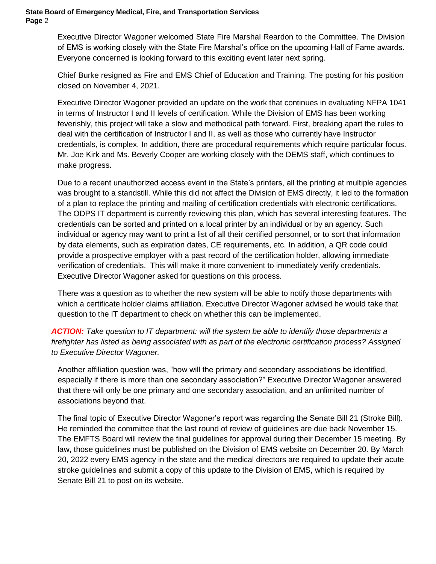Executive Director Wagoner welcomed State Fire Marshal Reardon to the Committee. The Division of EMS is working closely with the State Fire Marshal's office on the upcoming Hall of Fame awards. Everyone concerned is looking forward to this exciting event later next spring.

Chief Burke resigned as Fire and EMS Chief of Education and Training. The posting for his position closed on November 4, 2021.

Executive Director Wagoner provided an update on the work that continues in evaluating NFPA 1041 in terms of Instructor I and II levels of certification. While the Division of EMS has been working feverishly, this project will take a slow and methodical path forward. First, breaking apart the rules to deal with the certification of Instructor I and II, as well as those who currently have Instructor credentials, is complex. In addition, there are procedural requirements which require particular focus. Mr. Joe Kirk and Ms. Beverly Cooper are working closely with the DEMS staff, which continues to make progress.

Due to a recent unauthorized access event in the State's printers, all the printing at multiple agencies was brought to a standstill. While this did not affect the Division of EMS directly, it led to the formation of a plan to replace the printing and mailing of certification credentials with electronic certifications. The ODPS IT department is currently reviewing this plan, which has several interesting features. The credentials can be sorted and printed on a local printer by an individual or by an agency. Such individual or agency may want to print a list of all their certified personnel, or to sort that information by data elements, such as expiration dates, CE requirements, etc. In addition, a QR code could provide a prospective employer with a past record of the certification holder, allowing immediate verification of credentials. This will make it more convenient to immediately verify credentials. Executive Director Wagoner asked for questions on this process.

There was a question as to whether the new system will be able to notify those departments with which a certificate holder claims affiliation. Executive Director Wagoner advised he would take that question to the IT department to check on whether this can be implemented.

*ACTION: Take question to IT department: will the system be able to identify those departments a firefighter has listed as being associated with as part of the electronic certification process? Assigned to Executive Director Wagoner.*

Another affiliation question was, "how will the primary and secondary associations be identified, especially if there is more than one secondary association?" Executive Director Wagoner answered that there will only be one primary and one secondary association, and an unlimited number of associations beyond that.

The final topic of Executive Director Wagoner's report was regarding the Senate Bill 21 (Stroke Bill). He reminded the committee that the last round of review of guidelines are due back November 15. The EMFTS Board will review the final guidelines for approval during their December 15 meeting. By law, those guidelines must be published on the Division of EMS website on December 20. By March 20, 2022 every EMS agency in the state and the medical directors are required to update their acute stroke guidelines and submit a copy of this update to the Division of EMS, which is required by Senate Bill 21 to post on its website.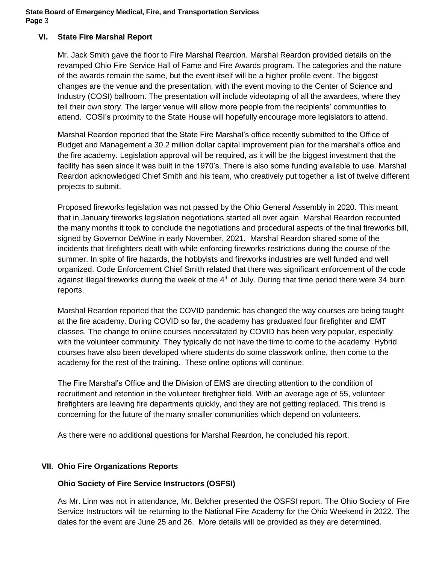## **VI. State Fire Marshal Report**

Mr. Jack Smith gave the floor to Fire Marshal Reardon. Marshal Reardon provided details on the revamped Ohio Fire Service Hall of Fame and Fire Awards program. The categories and the nature of the awards remain the same, but the event itself will be a higher profile event. The biggest changes are the venue and the presentation, with the event moving to the Center of Science and Industry (COSI) ballroom. The presentation will include videotaping of all the awardees, where they tell their own story. The larger venue will allow more people from the recipients' communities to attend. COSI's proximity to the State House will hopefully encourage more legislators to attend.

Marshal Reardon reported that the State Fire Marshal's office recently submitted to the Office of Budget and Management a 30.2 million dollar capital improvement plan for the marshal's office and the fire academy. Legislation approval will be required, as it will be the biggest investment that the facility has seen since it was built in the 1970's. There is also some funding available to use. Marshal Reardon acknowledged Chief Smith and his team, who creatively put together a list of twelve different projects to submit.

Proposed fireworks legislation was not passed by the Ohio General Assembly in 2020. This meant that in January fireworks legislation negotiations started all over again. Marshal Reardon recounted the many months it took to conclude the negotiations and procedural aspects of the final fireworks bill, signed by Governor DeWine in early November, 2021. Marshal Reardon shared some of the incidents that firefighters dealt with while enforcing fireworks restrictions during the course of the summer. In spite of fire hazards, the hobbyists and fireworks industries are well funded and well organized. Code Enforcement Chief Smith related that there was significant enforcement of the code against illegal fireworks during the week of the  $4<sup>th</sup>$  of July. During that time period there were 34 burn reports.

Marshal Reardon reported that the COVID pandemic has changed the way courses are being taught at the fire academy. During COVID so far, the academy has graduated four firefighter and EMT classes. The change to online courses necessitated by COVID has been very popular, especially with the volunteer community. They typically do not have the time to come to the academy. Hybrid courses have also been developed where students do some classwork online, then come to the academy for the rest of the training. These online options will continue.

The Fire Marshal's Office and the Division of EMS are directing attention to the condition of recruitment and retention in the volunteer firefighter field. With an average age of 55, volunteer firefighters are leaving fire departments quickly, and they are not getting replaced. This trend is concerning for the future of the many smaller communities which depend on volunteers.

As there were no additional questions for Marshal Reardon, he concluded his report.

## **VII. Ohio Fire Organizations Reports**

## **Ohio Society of Fire Service Instructors (OSFSI)**

As Mr. Linn was not in attendance, Mr. Belcher presented the OSFSI report. The Ohio Society of Fire Service Instructors will be returning to the National Fire Academy for the Ohio Weekend in 2022. The dates for the event are June 25 and 26. More details will be provided as they are determined.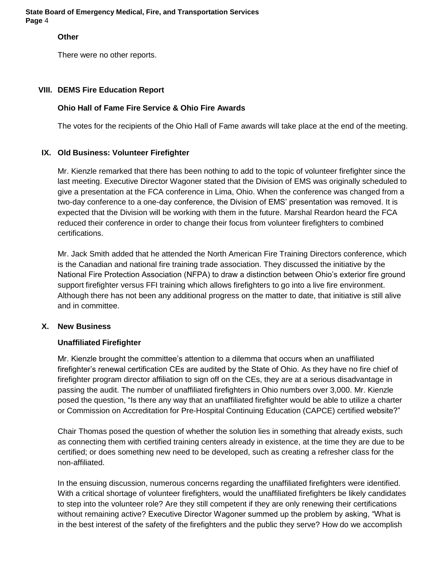#### **Other**

There were no other reports.

## **VIII. DEMS Fire Education Report**

# **Ohio Hall of Fame Fire Service & Ohio Fire Awards**

The votes for the recipients of the Ohio Hall of Fame awards will take place at the end of the meeting.

# **IX. Old Business: Volunteer Firefighter**

Mr. Kienzle remarked that there has been nothing to add to the topic of volunteer firefighter since the last meeting. Executive Director Wagoner stated that the Division of EMS was originally scheduled to give a presentation at the FCA conference in Lima, Ohio. When the conference was changed from a two-day conference to a one-day conference, the Division of EMS' presentation was removed. It is expected that the Division will be working with them in the future. Marshal Reardon heard the FCA reduced their conference in order to change their focus from volunteer firefighters to combined certifications.

Mr. Jack Smith added that he attended the North American Fire Training Directors conference, which is the Canadian and national fire training trade association. They discussed the initiative by the National Fire Protection Association (NFPA) to draw a distinction between Ohio's exterior fire ground support firefighter versus FFI training which allows firefighters to go into a live fire environment. Although there has not been any additional progress on the matter to date, that initiative is still alive and in committee.

## **X. New Business**

## **Unaffiliated Firefighter**

Mr. Kienzle brought the committee's attention to a dilemma that occurs when an unaffiliated firefighter's renewal certification CEs are audited by the State of Ohio. As they have no fire chief of firefighter program director affiliation to sign off on the CEs, they are at a serious disadvantage in passing the audit. The number of unaffiliated firefighters in Ohio numbers over 3,000. Mr. Kienzle posed the question, "Is there any way that an unaffiliated firefighter would be able to utilize a charter or Commission on Accreditation for Pre-Hospital Continuing Education (CAPCE) certified website?"

Chair Thomas posed the question of whether the solution lies in something that already exists, such as connecting them with certified training centers already in existence, at the time they are due to be certified; or does something new need to be developed, such as creating a refresher class for the non-affiliated.

In the ensuing discussion, numerous concerns regarding the unaffiliated firefighters were identified. With a critical shortage of volunteer firefighters, would the unaffiliated firefighters be likely candidates to step into the volunteer role? Are they still competent if they are only renewing their certifications without remaining active? Executive Director Wagoner summed up the problem by asking, "What is in the best interest of the safety of the firefighters and the public they serve? How do we accomplish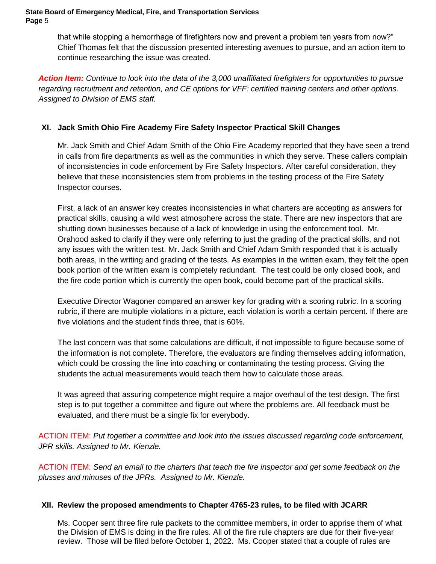that while stopping a hemorrhage of firefighters now and prevent a problem ten years from now?" Chief Thomas felt that the discussion presented interesting avenues to pursue, and an action item to continue researching the issue was created.

*Action Item: Continue to look into the data of the 3,000 unaffiliated firefighters for opportunities to pursue regarding recruitment and retention, and CE options for VFF: certified training centers and other options. Assigned to Division of EMS staff.*

# **XI. Jack Smith Ohio Fire Academy Fire Safety Inspector Practical Skill Changes**

Mr. Jack Smith and Chief Adam Smith of the Ohio Fire Academy reported that they have seen a trend in calls from fire departments as well as the communities in which they serve. These callers complain of inconsistencies in code enforcement by Fire Safety Inspectors. After careful consideration, they believe that these inconsistencies stem from problems in the testing process of the Fire Safety Inspector courses.

First, a lack of an answer key creates inconsistencies in what charters are accepting as answers for practical skills, causing a wild west atmosphere across the state. There are new inspectors that are shutting down businesses because of a lack of knowledge in using the enforcement tool. Mr. Orahood asked to clarify if they were only referring to just the grading of the practical skills, and not any issues with the written test. Mr. Jack Smith and Chief Adam Smith responded that it is actually both areas, in the writing and grading of the tests. As examples in the written exam, they felt the open book portion of the written exam is completely redundant. The test could be only closed book, and the fire code portion which is currently the open book, could become part of the practical skills.

Executive Director Wagoner compared an answer key for grading with a scoring rubric. In a scoring rubric, if there are multiple violations in a picture, each violation is worth a certain percent. If there are five violations and the student finds three, that is 60%.

The last concern was that some calculations are difficult, if not impossible to figure because some of the information is not complete. Therefore, the evaluators are finding themselves adding information, which could be crossing the line into coaching or contaminating the testing process. Giving the students the actual measurements would teach them how to calculate those areas.

It was agreed that assuring competence might require a major overhaul of the test design. The first step is to put together a committee and figure out where the problems are. All feedback must be evaluated, and there must be a single fix for everybody.

ACTION ITEM: *Put together a committee and look into the issues discussed regarding code enforcement, JPR skills. Assigned to Mr. Kienzle.*

ACTION ITEM: *Send an email to the charters that teach the fire inspector and get some feedback on the plusses and minuses of the JPRs. Assigned to Mr. Kienzle.*

# **XII. Review the proposed amendments to Chapter 4765-23 rules, to be filed with JCARR**

Ms. Cooper sent three fire rule packets to the committee members, in order to apprise them of what the Division of EMS is doing in the fire rules. All of the fire rule chapters are due for their five-year review. Those will be filed before October 1, 2022. Ms. Cooper stated that a couple of rules are